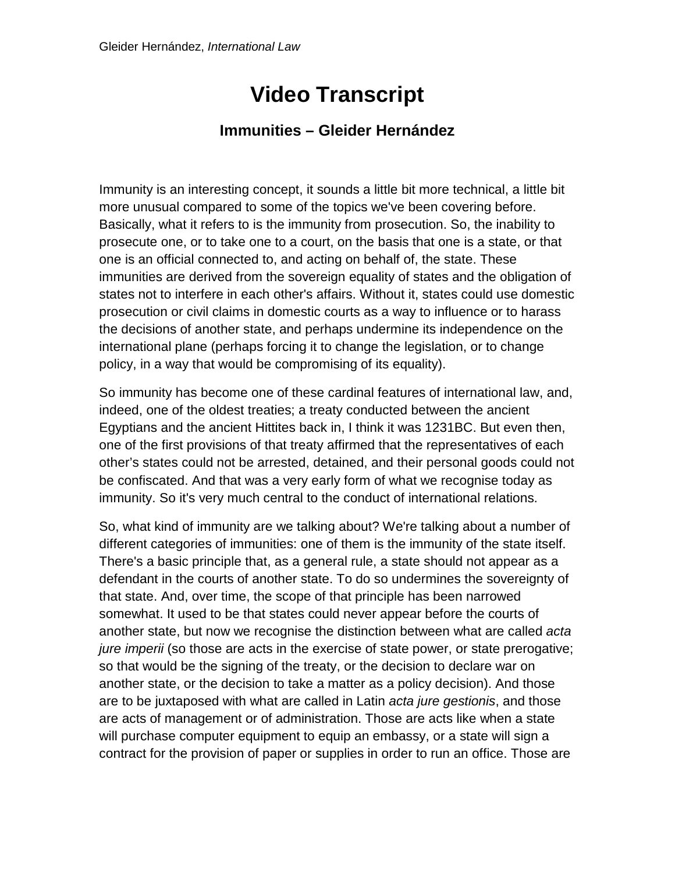## **Video Transcript**

## **Immunities – Gleider Hernández**

Immunity is an interesting concept, it sounds a little bit more technical, a little bit more unusual compared to some of the topics we've been covering before. Basically, what it refers to is the immunity from prosecution. So, the inability to prosecute one, or to take one to a court, on the basis that one is a state, or that one is an official connected to, and acting on behalf of, the state. These immunities are derived from the sovereign equality of states and the obligation of states not to interfere in each other's affairs. Without it, states could use domestic prosecution or civil claims in domestic courts as a way to influence or to harass the decisions of another state, and perhaps undermine its independence on the international plane (perhaps forcing it to change the legislation, or to change policy, in a way that would be compromising of its equality).

So immunity has become one of these cardinal features of international law, and, indeed, one of the oldest treaties; a treaty conducted between the ancient Egyptians and the ancient Hittites back in, I think it was 1231BC. But even then, one of the first provisions of that treaty affirmed that the representatives of each other's states could not be arrested, detained, and their personal goods could not be confiscated. And that was a very early form of what we recognise today as immunity. So it's very much central to the conduct of international relations.

So, what kind of immunity are we talking about? We're talking about a number of different categories of immunities: one of them is the immunity of the state itself. There's a basic principle that, as a general rule, a state should not appear as a defendant in the courts of another state. To do so undermines the sovereignty of that state. And, over time, the scope of that principle has been narrowed somewhat. It used to be that states could never appear before the courts of another state, but now we recognise the distinction between what are called *acta jure imperii* (so those are acts in the exercise of state power, or state prerogative; so that would be the signing of the treaty, or the decision to declare war on another state, or the decision to take a matter as a policy decision). And those are to be juxtaposed with what are called in Latin *acta jure gestionis*, and those are acts of management or of administration. Those are acts like when a state will purchase computer equipment to equip an embassy, or a state will sign a contract for the provision of paper or supplies in order to run an office. Those are